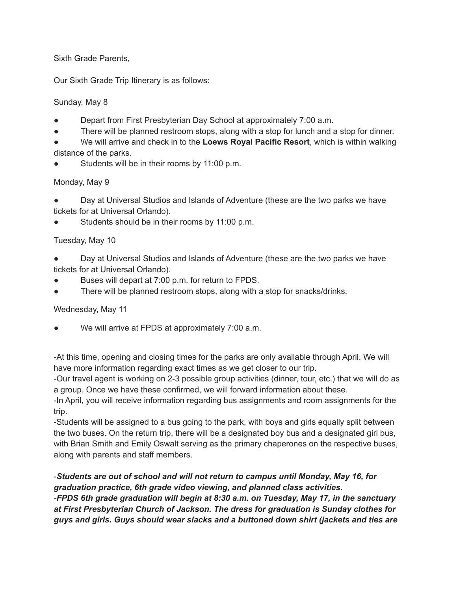Sixth Grade Parents,

Our Sixth Grade Trip Itinerary is as follows:

## Sunday, May 8

- Depart from First Presbyterian Day School at approximately 7:00 a.m.
- There will be planned restroom stops, along with a stop for lunch and a stop for dinner.
- We will arrive and check in to the **Loews Royal Pacific Resort**, which is within walking distance of the parks.
- Students will be in their rooms by 11:00 p.m.

## Monday, May 9

Day at Universal Studios and Islands of Adventure (these are the two parks we have tickets for at Universal Orlando).

Students should be in their rooms by 11:00 p.m.

## Tuesday, May 10

- Day at Universal Studios and Islands of Adventure (these are the two parks we have tickets for at Universal Orlando).
- Buses will depart at 7:00 p.m. for return to FPDS.
- There will be planned restroom stops, along with a stop for snacks/drinks.

Wednesday, May 11

We will arrive at FPDS at approximately 7:00 a.m.

-At this time, opening and closing times for the parks are only available through April. We will have more information regarding exact times as we get closer to our trip.

-Our travel agent is working on 2-3 possible group activities (dinner, tour, etc.) that we will do as a group. Once we have these confirmed, we will forward information about these.

-In April, you will receive information regarding bus assignments and room assignments for the trip.

-Students will be assigned to a bus going to the park, with boys and girls equally split between the two buses. On the return trip, there will be a designated boy bus and a designated girl bus, with Brian Smith and Emily Oswalt serving as the primary chaperones on the respective buses, along with parents and staff members.

*-Students are out of school and will not return to campus until Monday, May 16, for graduation practice, 6th grade video viewing, and planned class activities. -FPDS 6th grade graduation will begin at 8:30 a.m. on Tuesday, May 17, in the sanctuary at First Presbyterian Church of Jackson. The dress for graduation is Sunday clothes for guys and girls. Guys should wear slacks and a buttoned down shirt (jackets and ties are*